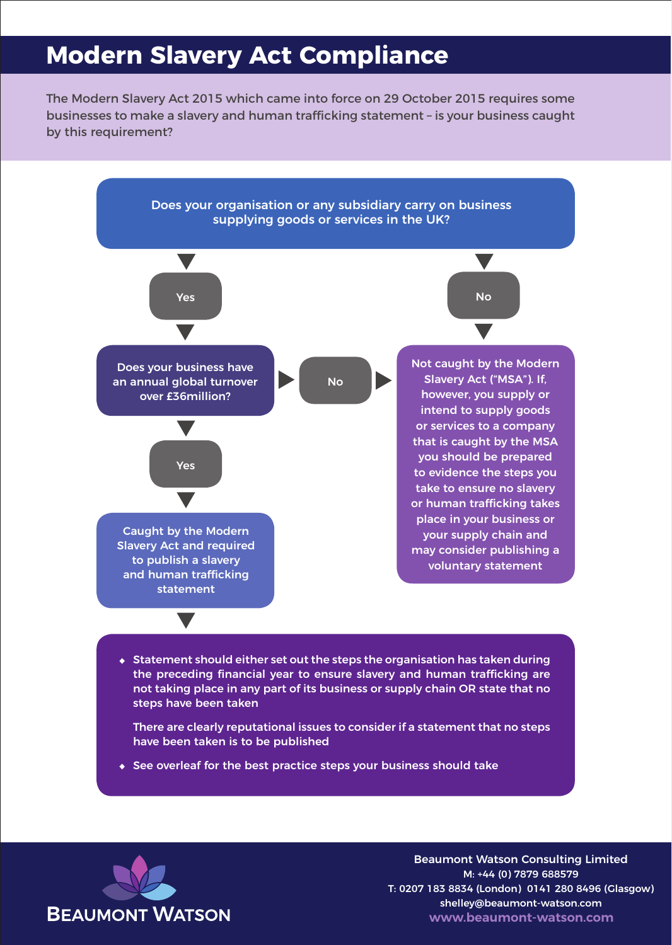## **Modern Slavery Act Compliance**

The Modern Slavery Act 2015 which came into force on 29 October 2015 requires some businesses to make a slavery and human trafficking statement – is your business caught by this requirement?



• Statement should either set out the steps the organisation has taken during the preceding financial year to ensure slavery and human trafficking are not taking place in any part of its business or supply chain OR state that no steps have been taken

There are clearly reputational issues to consider if a statement that no steps have been taken is to be published

• See overleaf for the best practice steps your business should take



Beaumont Watson Consulting Limited M: +44 (0) 7879 688579 T: 0207 183 8834 (London) 0141 280 8496 (Glasgow) shelley@beaumont-watson.com **www.beaumont-watson.com**